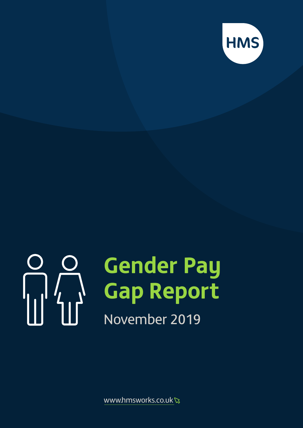

# 

# **Gender Pay Gap Report**

# November 2019

www.hmsworks.co.uk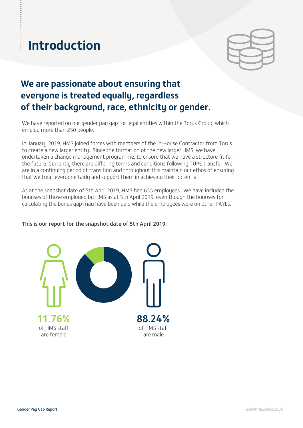# **Introduction**

### **We are passionate about ensuring that everyone is treated equally, regardless of their background, race, ethnicity or gender.**

We have reported on our gender pay gap for legal entities within the Torus Group, which employ more than 250 people.

In January 2019, HMS joined forces with members of the In-House Contractor from Torus to create a new larger entity. Since the formation of the new larger HMS, we have undertaken a change management programme, to ensure that we have a structure fit for the future. Currently there are differing terms and conditions following TUPE transfer. We are in a continuing period of transition and throughout this maintain our ethos of ensuring that we treat everyone fairly and support them in achieving their potential.

As at the snapshot date of 5th April 2019, HMS had 655 employees. We have included the bonuses of those employed by HMS as at 5th April 2019, even though the bonuses for calculating the bonus gap may have been paid while the employees were on other PAYEs.

### This is our report for the snapshot date of 5th April 2019:

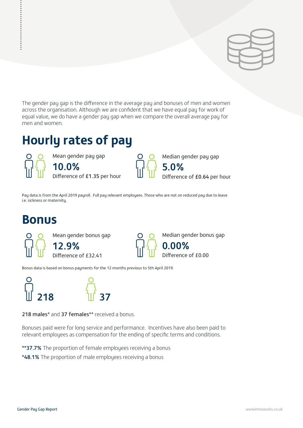

The gender pay gap is the difference in the average pay and bonuses of men and women across the organisation. Although we are confident that we have equal pay for work of equal value, we do have a gender pay gap when we compare the overall average pay for men and women.

## **Hourly rates of pay**

Mean gender pay gap 10.0% Difference of £1.35 per hour Median gender pay gap

5.0% ifference of £0.64 per hour

Pay data is from the April 2019 payroll. Full pay relevant employees. Those who are not on reduced pay due to leave i.e. sickness or maternity.

### **Bonus**

................



Median gender bonus gap 0.00% Difference of £0.00

Bonus data is based on bonus payments for the 12 months previous to 5th April 2019.



218 males\* and 37 females\*\* received a bonus.

Bonuses paid were for long service and performance. Incentives have also been paid to relevant employees as compensation for the ending of specific terms and conditions.

\*\*37.7% The proportion of female employees receiving a bonus

\*48.1% The proportion of male employees receiving a bonus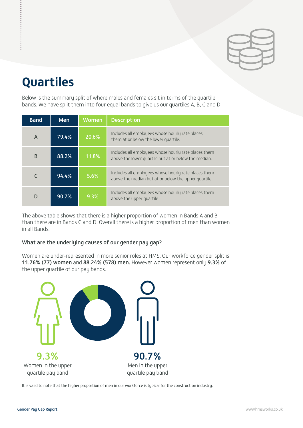

# **Quartiles**

Below is the summary split of where males and females sit in terms of the quartile bands. We have split them into four equal bands to give us our quartiles A, B, C and D.

| <b>Band</b> | <b>Men</b> | Women   | <b>Description</b>                                                                                           |
|-------------|------------|---------|--------------------------------------------------------------------------------------------------------------|
| A           | 79.4%      | 20.6%   | Includes all employees whose hourly rate places<br>them at or below the lower quartile.                      |
| B           | 88.2%      | 11.8%   | Includes all employees whose hourly rate places them<br>above the lower quartile but at or below the median. |
|             | 94.4%      | 5.6%    | Includes all employees whose hourly rate places them<br>above the median but at or below the upper quartile. |
|             | 90.7%      | $9.3\%$ | Includes all employees whose hourly rate places them<br>above the upper quartile                             |

The above table shows that there is a higher proportion of women in Bands A and B than there are in Bands C and D. Overall there is a higher proportion of men than women in all Bands.

### What are the underlying causes of our gender pay gap?

Women are under-represented in more senior roles at HMS. Our workforce gender split is 11.76% (77) women and 88.24% (578) men. However women represent only 9.3% of the upper quartile of our pay bands.



It is valid to note that the higher proportion of men in our workforce is typical for the construction industry.